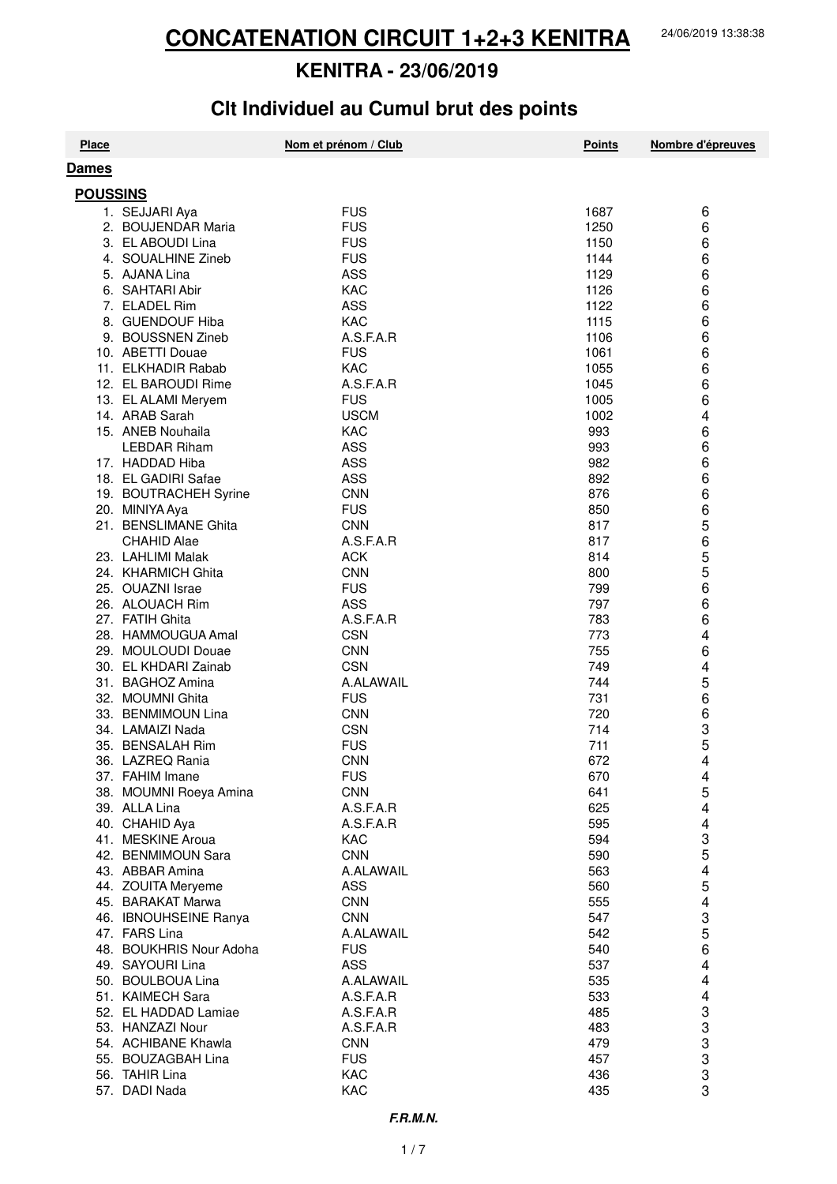# **Clt Individuel au Cumul brut des points**

| <b>Place</b>                             | Nom et prénom / Club     | <b>Points</b> | Nombre d'épreuves                                |
|------------------------------------------|--------------------------|---------------|--------------------------------------------------|
| Dames                                    |                          |               |                                                  |
| <b>POUSSINS</b>                          |                          |               |                                                  |
| 1. SEJJARI Aya                           | <b>FUS</b>               | 1687          | 6                                                |
| 2. BOUJENDAR Maria                       | <b>FUS</b>               | 1250          | 6                                                |
| 3. EL ABOUDI Lina                        | <b>FUS</b>               | 1150          | 6                                                |
| 4. SOUALHINE Zineb                       | <b>FUS</b>               | 1144          | 6                                                |
| 5. AJANA Lina                            | ASS                      | 1129          | 6                                                |
| 6. SAHTARI Abir                          | <b>KAC</b>               | 1126          | 6                                                |
| 7. ELADEL Rim                            | <b>ASS</b>               | 1122          | 6                                                |
| 8. GUENDOUF Hiba                         | <b>KAC</b>               | 1115          | 6                                                |
| 9. BOUSSNEN Zineb                        | A.S.F.A.R                | 1106          | 6                                                |
| 10. ABETTI Douae                         | <b>FUS</b>               | 1061          | 6                                                |
| 11. ELKHADIR Rabab                       | <b>KAC</b>               | 1055          | 6                                                |
| 12. EL BAROUDI Rime                      | A.S.F.A.R                | 1045          | 6                                                |
| 13. EL ALAMI Meryem                      | <b>FUS</b>               | 1005          | 6                                                |
| 14. ARAB Sarah                           | <b>USCM</b>              | 1002          | 4                                                |
| 15. ANEB Nouhaila                        | <b>KAC</b>               | 993           | 6                                                |
| <b>LEBDAR Riham</b>                      | <b>ASS</b>               | 993           | 6                                                |
| 17. HADDAD Hiba                          | <b>ASS</b>               | 982           | 6                                                |
| 18. EL GADIRI Safae                      | <b>ASS</b>               | 892           | 6                                                |
| 19. BOUTRACHEH Syrine                    | <b>CNN</b>               | 876           | 6                                                |
| 20. MINIYA Aya                           | <b>FUS</b>               | 850           | 6                                                |
| 21. BENSLIMANE Ghita                     | <b>CNN</b>               | 817           | 5                                                |
| <b>CHAHID Alae</b>                       | A.S.F.A.R                | 817           | 6                                                |
| 23. LAHLIMI Malak                        | <b>ACK</b>               | 814           | 5<br>5                                           |
| 24. KHARMICH Ghita                       | <b>CNN</b>               | 800           | 6                                                |
| 25. OUAZNI Israe<br>26. ALOUACH Rim      | <b>FUS</b><br><b>ASS</b> | 799<br>797    | 6                                                |
| 27. FATIH Ghita                          | A.S.F.A.R                | 783           | 6                                                |
| 28. HAMMOUGUA Amal                       | <b>CSN</b>               | 773           | 4                                                |
| 29. MOULOUDI Douae                       | <b>CNN</b>               | 755           | 6                                                |
| 30. EL KHDARI Zainab                     | <b>CSN</b>               | 749           | 4                                                |
| 31. BAGHOZ Amina                         | A.ALAWAIL                | 744           | 5                                                |
| 32. MOUMNI Ghita                         | <b>FUS</b>               | 731           | 6                                                |
| 33. BENMIMOUN Lina                       | <b>CNN</b>               | 720           | 6                                                |
| 34. LAMAIZI Nada                         | <b>CSN</b>               | 714           |                                                  |
| 35. BENSALAH Rim                         | <b>FUS</b>               | 711           | 3<br>5                                           |
| 36. LAZREQ Rania                         | <b>CNN</b>               | 672           | 4                                                |
| 37. FAHIM Imane                          | <b>FUS</b>               | 670           | 4                                                |
| 38. MOUMNI Roeya Amina                   | <b>CNN</b>               | 641           | 5                                                |
| 39. ALLA Lina                            | A.S.F.A.R                | 625           | 4                                                |
| 40. CHAHID Aya                           | A.S.F.A.R                | 595           | 4                                                |
| 41. MESKINE Aroua                        | KAC                      | 594           | 3<br>5                                           |
| 42. BENMIMOUN Sara                       | <b>CNN</b>               | 590           |                                                  |
| 43. ABBAR Amina                          | A.ALAWAIL                | 563           | 4                                                |
| 44. ZOUITA Meryeme                       | <b>ASS</b>               | 560           | 5                                                |
| 45. BARAKAT Marwa                        | <b>CNN</b>               | 555           | 4                                                |
| 46. IBNOUHSEINE Ranya                    | <b>CNN</b>               | 547           | 3                                                |
| 47. FARS Lina<br>48. BOUKHRIS Nour Adoha | A.ALAWAIL<br><b>FUS</b>  | 542<br>540    | 5<br>6                                           |
| 49. SAYOURI Lina                         | <b>ASS</b>               | 537           | 4                                                |
| 50. BOULBOUA Lina                        | A.ALAWAIL                | 535           | 4                                                |
| 51. KAIMECH Sara                         | A.S.F.A.R                | 533           | 4                                                |
| 52. EL HADDAD Lamiae                     | A.S.F.A.R                | 485           |                                                  |
| 53. HANZAZI Nour                         | A.S.F.A.R                | 483           |                                                  |
| 54. ACHIBANE Khawla                      | <b>CNN</b>               | 479           |                                                  |
| 55. BOUZAGBAH Lina                       | <b>FUS</b>               | 457           |                                                  |
| 56. TAHIR Lina                           | KAC                      | 436           | $\begin{array}{c}\n 3 \\  3 \\  3\n \end{array}$ |
| 57. DADI Nada                            | KAC                      | 435           | 3                                                |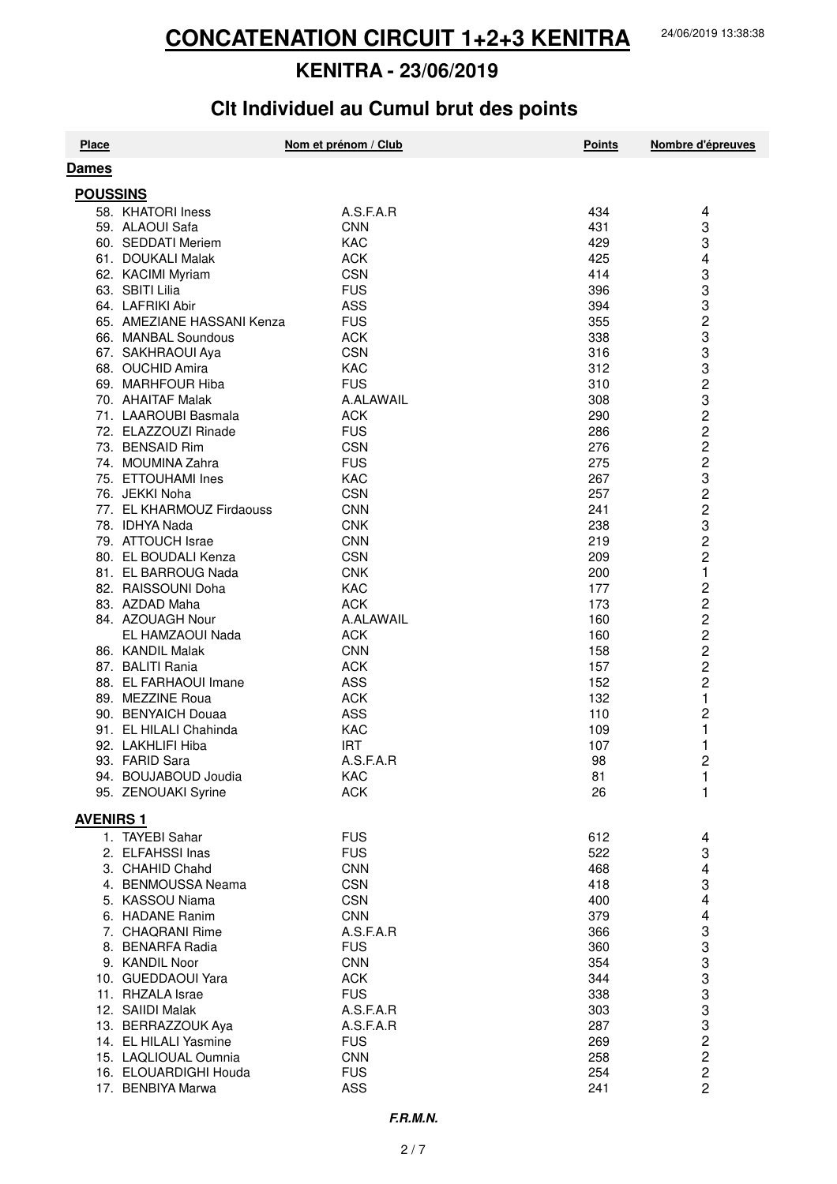# Clt Individuel au Cumul brut des points

| <b>Place</b>     |                                       | Nom et prénom / Club     | <b>Points</b> | Nombre d'épreuves                |
|------------------|---------------------------------------|--------------------------|---------------|----------------------------------|
| Dames            |                                       |                          |               |                                  |
| <b>POUSSINS</b>  |                                       |                          |               |                                  |
|                  | 58. KHATORI Iness                     | A.S.F.A.R                | 434           | 4                                |
|                  | 59. ALAOUI Safa                       | <b>CNN</b>               | 431           | 3                                |
|                  | 60. SEDDATI Meriem                    | KAC                      | 429           | 3                                |
|                  | 61. DOUKALI Malak                     | <b>ACK</b>               | 425           | 4                                |
|                  | 62. KACIMI Myriam                     | <b>CSN</b>               | 414           | 3                                |
|                  | 63. SBITI Lilia                       | <b>FUS</b>               | 396           | 3                                |
|                  | 64. LAFRIKI Abir                      | <b>ASS</b>               | 394           | 3                                |
|                  | 65. AMEZIANE HASSANI Kenza            | <b>FUS</b>               | 355           | 2                                |
|                  | 66. MANBAL Soundous                   | <b>ACK</b>               | 338           | 3                                |
|                  | 67. SAKHRAOUI Aya                     | <b>CSN</b>               | 316           | 3                                |
|                  | 68. OUCHID Amira                      | KAC                      | 312           | 3                                |
|                  | 69. MARHFOUR Hiba                     | <b>FUS</b>               | 310           | 2                                |
|                  | 70. AHAITAF Malak                     | A.ALAWAIL                | 308           | 3                                |
|                  | 71. LAAROUBI Basmala                  | <b>ACK</b>               | 290           | 2                                |
|                  | 72. ELAZZOUZI Rinade                  | <b>FUS</b>               | 286           | $\overline{c}$                   |
|                  | 73. BENSAID Rim                       | <b>CSN</b>               | 276           | $\overline{2}$                   |
|                  | 74. MOUMINA Zahra                     | <b>FUS</b>               | 275           | $\overline{c}$                   |
|                  | 75. ETTOUHAMI Ines                    | KAC                      | 267           | 3                                |
|                  | 76. JEKKI Noha                        | <b>CSN</b>               | 257           | $\overline{\mathbf{c}}$          |
|                  | 77. EL KHARMOUZ Firdaouss             | <b>CNN</b>               | 241           | $\overline{\mathbf{c}}$          |
|                  | 78. IDHYA Nada                        | <b>CNK</b>               | 238           | 3                                |
|                  | 79. ATTOUCH Israe                     | <b>CNN</b>               | 219           | 2                                |
|                  | 80. EL BOUDALI Kenza                  | <b>CSN</b>               | 209           | $\overline{c}$                   |
|                  | 81. EL BARROUG Nada                   | <b>CNK</b>               | 200           | 1                                |
|                  | 82. RAISSOUNI Doha                    | KAC                      | 177           | $\overline{c}$                   |
|                  | 83. AZDAD Maha                        | <b>ACK</b>               | 173           | 2                                |
|                  | 84. AZOUAGH Nour                      | A.ALAWAIL                | 160           | $\overline{c}$<br>$\overline{c}$ |
|                  | EL HAMZAOUI Nada<br>86. KANDIL Malak  | <b>ACK</b><br><b>CNN</b> | 160<br>158    | 2                                |
|                  | 87. BALITI Rania                      | <b>ACK</b>               | 157           | $\overline{c}$                   |
|                  | 88. EL FARHAOUI Imane                 | <b>ASS</b>               | 152           | $\overline{c}$                   |
|                  | 89. MEZZINE Roua                      | <b>ACK</b>               | 132           | 1                                |
|                  | 90. BENYAICH Douaa                    | <b>ASS</b>               | 110           | 2                                |
|                  | 91. EL HILALI Chahinda                | KAC                      | 109           | 1                                |
|                  | 92. LAKHLIFI Hiba                     | <b>IRT</b>               | 107           | 1                                |
|                  | 93. FARID Sara                        | A.S.F.A.R                | 98            | 2                                |
|                  | 94. BOUJABOUD Joudia                  | KAC                      | 81            | 1                                |
|                  | 95. ZENOUAKI Syrine                   | <b>ACK</b>               | 26            | 1                                |
|                  |                                       |                          |               |                                  |
| <b>AVENIRS 1</b> |                                       |                          |               |                                  |
|                  | 1. TAYEBI Sahar                       | <b>FUS</b>               | 612           | 4                                |
|                  | 2. ELFAHSSI Inas                      | <b>FUS</b>               | 522           | 3                                |
|                  | 3. CHAHID Chahd                       | <b>CNN</b>               | 468           | 4                                |
|                  | 4. BENMOUSSA Neama<br>5. KASSOU Niama | <b>CSN</b><br><b>CSN</b> | 418<br>400    | 3                                |
|                  | 6. HADANE Ranim                       | <b>CNN</b>               | 379           | 4<br>4                           |
|                  | 7. CHAQRANI Rime                      | A.S.F.A.R                | 366           | 3                                |
|                  | 8. BENARFA Radia                      | <b>FUS</b>               | 360           | 3                                |
|                  | 9. KANDIL Noor                        | <b>CNN</b>               | 354           | 3                                |
|                  | 10. GUEDDAOUI Yara                    | <b>ACK</b>               | 344           | 3                                |
|                  | 11. RHZALA Israe                      | <b>FUS</b>               | 338           | 3                                |
|                  | 12. SAIIDI Malak                      | A.S.F.A.R                | 303           | 3                                |
|                  | 13. BERRAZZOUK Aya                    | A.S.F.A.R                | 287           |                                  |
|                  | 14. EL HILALI Yasmine                 | <b>FUS</b>               | 269           | 3<br>2<br>2                      |
|                  | 15. LAQLIOUAL Oumnia                  | <b>CNN</b>               | 258           |                                  |
|                  | 16. ELOUARDIGHI Houda                 | <b>FUS</b>               | 254           | $\overline{\mathbf{c}}$          |
|                  | 17. BENBIYA Marwa                     | ASS                      | 241           | $\overline{2}$                   |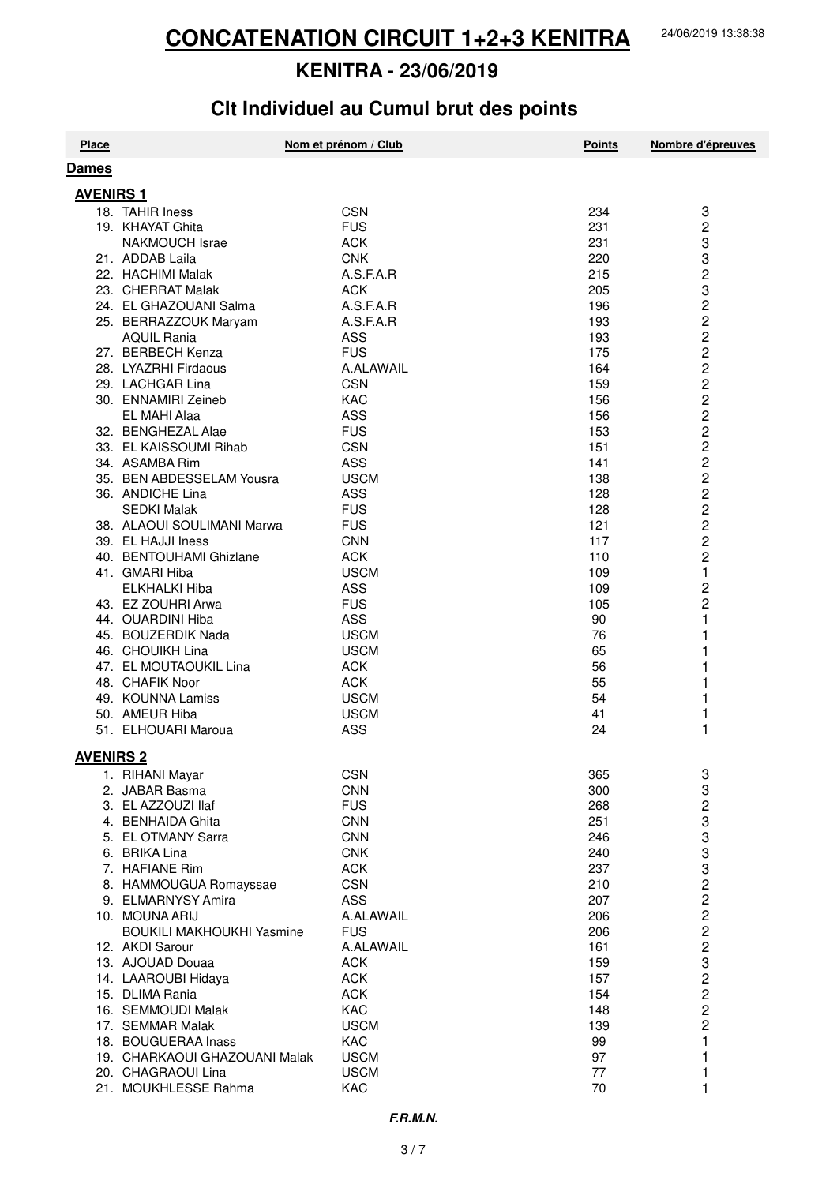# Clt Individuel au Cumul brut des points

| <b>Place</b>     |                                                     | Nom et prénom / Club      | <b>Points</b> | Nombre d'épreuves                                |
|------------------|-----------------------------------------------------|---------------------------|---------------|--------------------------------------------------|
| Dames            |                                                     |                           |               |                                                  |
| <b>AVENIRS 1</b> |                                                     |                           |               |                                                  |
|                  | 18. TAHIR Iness                                     | <b>CSN</b>                | 234           | 3                                                |
|                  | 19. KHAYAT Ghita                                    | <b>FUS</b>                | 231           | $\overline{c}$                                   |
|                  | <b>NAKMOUCH Israe</b>                               | <b>ACK</b>                | 231           | 3                                                |
|                  | 21. ADDAB Laila                                     | <b>CNK</b>                | 220           | 3                                                |
|                  | 22. HACHIMI Malak                                   | A.S.F.A.R                 | 215           |                                                  |
|                  | 23. CHERRAT Malak                                   | <b>ACK</b>                | 205           | $\begin{array}{c}\n 2 \\  3 \\  2\n \end{array}$ |
|                  | 24. EL GHAZOUANI Salma                              | A.S.F.A.R                 | 196           |                                                  |
|                  | 25. BERRAZZOUK Maryam                               | A.S.F.A.R                 | 193           | $\overline{c}$                                   |
|                  | <b>AQUIL Rania</b>                                  | ASS                       | 193           | $\overline{c}$                                   |
|                  | 27. BERBECH Kenza                                   | <b>FUS</b>                | 175           | $\overline{c}$                                   |
|                  | 28. LYAZRHI Firdaous                                | A.ALAWAIL                 | 164           | $\overline{c}$                                   |
|                  | 29. LACHGAR Lina                                    | <b>CSN</b>                | 159           | $\overline{\mathbf{c}}$                          |
|                  | 30. ENNAMIRI Zeineb                                 | <b>KAC</b>                | 156           | $\begin{array}{c} 2 \\ 2 \\ 2 \end{array}$       |
|                  | EL MAHI Alaa                                        | <b>ASS</b>                | 156           |                                                  |
|                  | 32. BENGHEZAL Alae                                  | <b>FUS</b>                | 153           |                                                  |
|                  | 33. EL KAISSOUMI Rihab                              | <b>CSN</b>                | 151           | $\overline{c}$                                   |
|                  | 34. ASAMBA Rim<br>35. BEN ABDESSELAM Yousra         | <b>ASS</b><br><b>USCM</b> | 141           | $\overline{c}$<br>$\overline{c}$                 |
|                  | 36. ANDICHE Lina                                    | <b>ASS</b>                | 138<br>128    | $\overline{c}$                                   |
|                  | <b>SEDKI Malak</b>                                  | <b>FUS</b>                | 128           | $\overline{\mathbf{c}}$                          |
|                  | 38. ALAOUI SOULIMANI Marwa                          | <b>FUS</b>                | 121           |                                                  |
|                  | 39. EL HAJJI Iness                                  | <b>CNN</b>                | 117           |                                                  |
|                  | 40. BENTOUHAMI Ghizlane                             | <b>ACK</b>                | 110           | $\begin{array}{c}\n2 \\ 2 \\ 2\n\end{array}$     |
|                  | 41. GMARI Hiba                                      | <b>USCM</b>               | 109           | $\mathbf{1}$                                     |
|                  | <b>ELKHALKI Hiba</b>                                | <b>ASS</b>                | 109           | $\overline{c}$                                   |
|                  | 43. EZ ZOUHRI Arwa                                  | <b>FUS</b>                | 105           | $\overline{c}$                                   |
|                  | 44. OUARDINI Hiba                                   | ASS                       | 90            | 1                                                |
|                  | 45. BOUZERDIK Nada                                  | <b>USCM</b>               | 76            |                                                  |
|                  | 46. CHOUIKH Lina                                    | <b>USCM</b>               | 65            |                                                  |
|                  | 47. EL MOUTAOUKIL Lina                              | <b>ACK</b>                | 56            |                                                  |
|                  | 48. CHAFIK Noor                                     | <b>ACK</b>                | 55            | 1                                                |
|                  | 49. KOUNNA Lamiss                                   | <b>USCM</b>               | 54            | 1                                                |
|                  | 50. AMEUR Hiba                                      | <b>USCM</b>               | 41            | 1                                                |
|                  | 51. ELHOUARI Maroua                                 | <b>ASS</b>                | 24            | 1                                                |
| <b>AVENIRS 2</b> |                                                     |                           |               |                                                  |
|                  | 1. RIHANI Mayar                                     | <b>CSN</b>                | 365           | 3                                                |
|                  | 2. JABAR Basma                                      | <b>CNN</b>                | 300           | 3                                                |
|                  | 3. EL AZZOUZI llaf                                  | <b>FUS</b>                | 268           |                                                  |
|                  | 4. BENHAIDA Ghita                                   | <b>CNN</b>                | 251           |                                                  |
|                  | 5. EL OTMANY Sarra                                  | <b>CNN</b>                | 246           | $\begin{array}{c}\n2 \\ 3 \\ 3\n\end{array}$     |
|                  | 6. BRIKA Lina                                       | <b>CNK</b>                | 240           |                                                  |
|                  | 7. HAFIANE Rim                                      | <b>ACK</b>                | 237           | $\frac{3}{2}$                                    |
|                  | 8. HAMMOUGUA Romayssae                              | <b>CSN</b>                | 210           |                                                  |
|                  | 9. ELMARNYSY Amira                                  | <b>ASS</b>                | 207           | $\overline{c}$                                   |
|                  | 10. MOUNA ARIJ                                      | A.ALAWAIL<br><b>FUS</b>   | 206           | $\overline{c}$                                   |
|                  | <b>BOUKILI MAKHOUKHI Yasmine</b><br>12. AKDI Sarour | A.ALAWAIL                 | 206<br>161    |                                                  |
|                  | 13. AJOUAD Douaa                                    | <b>ACK</b>                | 159           |                                                  |
|                  | 14. LAAROUBI Hidaya                                 | <b>ACK</b>                | 157           | 2<br>2<br>2<br>2<br>2                            |
|                  | 15. DLIMA Rania                                     | <b>ACK</b>                | 154           |                                                  |
|                  | 16. SEMMOUDI Malak                                  | KAC                       | 148           | $\overline{c}$                                   |
|                  | 17. SEMMAR Malak                                    | <b>USCM</b>               | 139           | $\overline{c}$                                   |
|                  | 18. BOUGUERAA Inass                                 | KAC                       | 99            | 1                                                |
|                  | 19. CHARKAOUI GHAZOUANI Malak                       | <b>USCM</b>               | 97            | 1                                                |
|                  | 20. CHAGRAOUI Lina                                  | <b>USCM</b>               | 77            | 1                                                |
|                  | 21. MOUKHLESSE Rahma                                | KAC                       | 70            | 1                                                |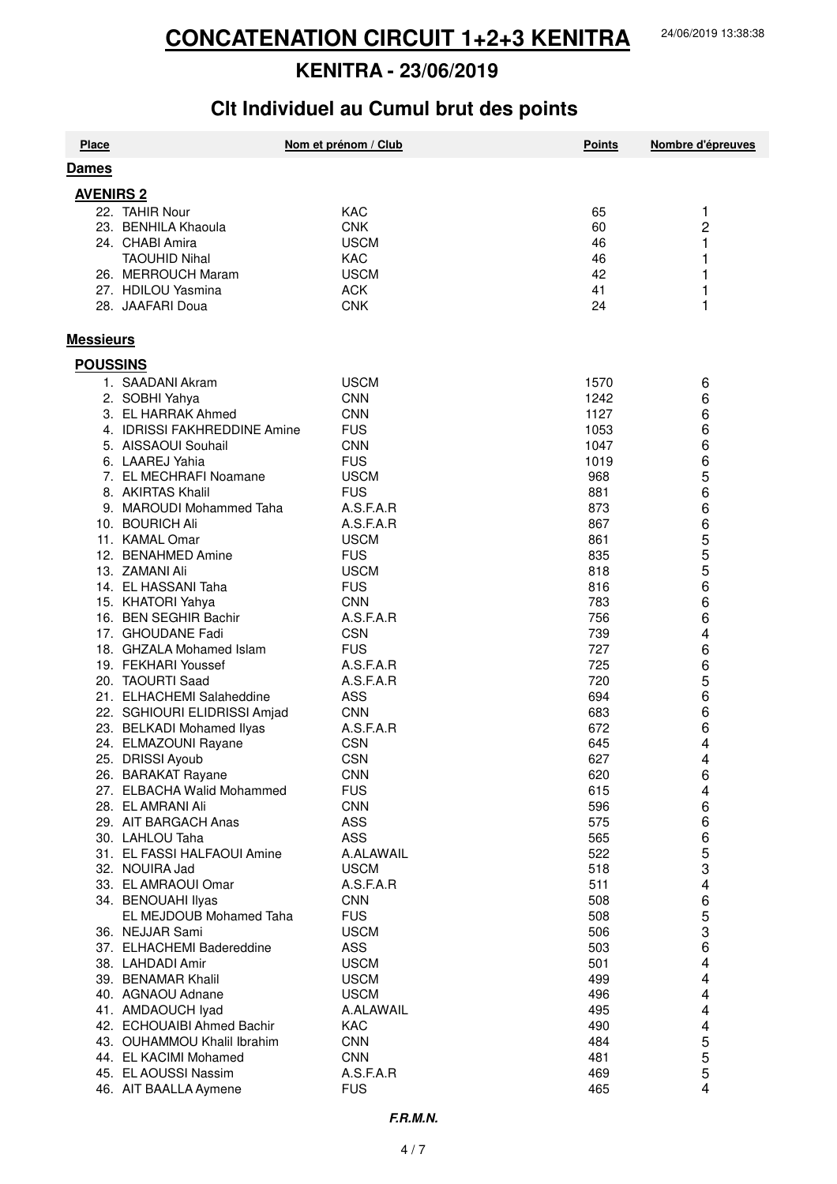# **Clt Individuel au Cumul brut des points**

| <b>Place</b>     |                              | Nom et prénom / Club | <b>Points</b> | Nombre d'épreuves |
|------------------|------------------------------|----------------------|---------------|-------------------|
| Dames            |                              |                      |               |                   |
| <b>AVENIRS 2</b> |                              |                      |               |                   |
|                  | 22. TAHIR Nour               | <b>KAC</b>           | 65            | 1                 |
|                  |                              | <b>CNK</b>           | 60            | $\overline{c}$    |
|                  | 23. BENHILA Khaoula          |                      |               |                   |
|                  | 24. CHABI Amira              | <b>USCM</b>          | 46            | 1                 |
|                  | <b>TAOUHID Nihal</b>         | <b>KAC</b>           | 46            | 1                 |
|                  | 26. MERROUCH Maram           | <b>USCM</b>          | 42            | 1                 |
|                  | 27. HDILOU Yasmina           | <b>ACK</b>           | 41            | 1                 |
|                  | 28. JAAFARI Doua             | <b>CNK</b>           | 24            | 1                 |
| <b>Messieurs</b> |                              |                      |               |                   |
| <b>POUSSINS</b>  |                              |                      |               |                   |
|                  | 1. SAADANI Akram             | <b>USCM</b>          | 1570          | 6                 |
|                  | 2. SOBHI Yahya               | <b>CNN</b>           | 1242          | 6                 |
|                  | 3. EL HARRAK Ahmed           | <b>CNN</b>           | 1127          | 6                 |
|                  | 4. IDRISSI FAKHREDDINE Amine | <b>FUS</b>           | 1053          | 6                 |
|                  | 5. AISSAOUI Souhail          | <b>CNN</b>           | 1047          | 6                 |
|                  | 6. LAAREJ Yahia              | <b>FUS</b>           | 1019          | 6                 |
|                  | 7. EL MECHRAFI Noamane       | <b>USCM</b>          | 968           | 5                 |
|                  | 8. AKIRTAS Khalil            | <b>FUS</b>           | 881           | 6                 |
|                  | 9. MAROUDI Mohammed Taha     | A.S.F.A.R            | 873           | 6                 |
|                  | 10. BOURICH Ali              | A.S.F.A.R            | 867           | 6                 |
|                  | 11. KAMAL Omar               | <b>USCM</b>          | 861           | 5                 |
|                  | 12. BENAHMED Amine           | <b>FUS</b>           | 835           | 5                 |
|                  | 13. ZAMANI Ali               | <b>USCM</b>          | 818           | 5                 |
|                  | 14. EL HASSANI Taha          | <b>FUS</b>           | 816           | 6                 |
|                  | 15. KHATORI Yahya            | <b>CNN</b>           | 783           | 6                 |
|                  | 16. BEN SEGHIR Bachir        | A.S.F.A.R            | 756           | 6                 |
|                  | 17. GHOUDANE Fadi            | <b>CSN</b>           | 739           | 4                 |
|                  | 18. GHZALA Mohamed Islam     | <b>FUS</b>           | 727           | 6                 |
|                  | 19. FEKHARI Youssef          | A.S.F.A.R            | 725           | 6                 |
|                  | 20. TAOURTI Saad             | A.S.F.A.R            | 720           | 5                 |
|                  | 21. ELHACHEMI Salaheddine    | ASS                  | 694           | 6                 |
|                  | 22. SGHIOURI ELIDRISSI Amjad | <b>CNN</b>           | 683           | 6                 |
|                  | 23. BELKADI Mohamed Ilyas    | A.S.F.A.R            | 672           | 6                 |
|                  | 24. ELMAZOUNI Rayane         | <b>CSN</b>           | 645           | 4                 |
|                  | 25. DRISSI Ayoub             | <b>CSN</b>           | 627           | 4                 |
|                  | 26. BARAKAT Rayane           | <b>CNN</b>           | 620           | 6                 |
|                  | 27. ELBACHA Walid Mohammed   | <b>FUS</b>           | 615           |                   |
|                  | 28. EL AMRANI Ali            | <b>CNN</b>           | 596           | 4<br>6            |
|                  | 29. AIT BARGACH Anas         | <b>ASS</b>           | 575           | 6                 |
|                  | 30. LAHLOU Taha              | <b>ASS</b>           | 565           | 6                 |
|                  | 31. EL FASSI HALFAOUI Amine  | A.ALAWAIL            | 522           | 5                 |
|                  | 32. NOUIRA Jad               | <b>USCM</b>          | 518           | 3                 |
|                  | 33. EL AMRAOUI Omar          | A.S.F.A.R            | 511           | 4                 |
|                  | 34. BENOUAHI Ilyas           | <b>CNN</b>           | 508           |                   |
|                  | EL MEJDOUB Mohamed Taha      | <b>FUS</b>           | 508           | 6                 |
|                  |                              |                      |               | 5<br>3            |
|                  | 36. NEJJAR Sami              | <b>USCM</b>          | 506           |                   |
|                  | 37. ELHACHEMI Badereddine    | <b>ASS</b>           | 503           | 6                 |
|                  | 38. LAHDADI Amir             | <b>USCM</b>          | 501           | 4                 |
|                  | 39. BENAMAR Khalil           | <b>USCM</b>          | 499           | 4                 |
|                  | 40. AGNAOU Adnane            | <b>USCM</b>          | 496           | 4                 |
|                  | 41. AMDAOUCH lyad            | A.ALAWAIL            | 495           | 4                 |
|                  | 42. ECHOUAIBI Ahmed Bachir   | <b>KAC</b>           | 490           | 4                 |
|                  | 43. OUHAMMOU Khalil Ibrahim  | <b>CNN</b>           | 484           | 5                 |
|                  | 44. EL KACIMI Mohamed        | <b>CNN</b>           | 481           | 5                 |
|                  | 45. EL AOUSSI Nassim         | A.S.F.A.R            | 469           | 5                 |
|                  | 46. AIT BAALLA Aymene        | <b>FUS</b>           | 465           | 4                 |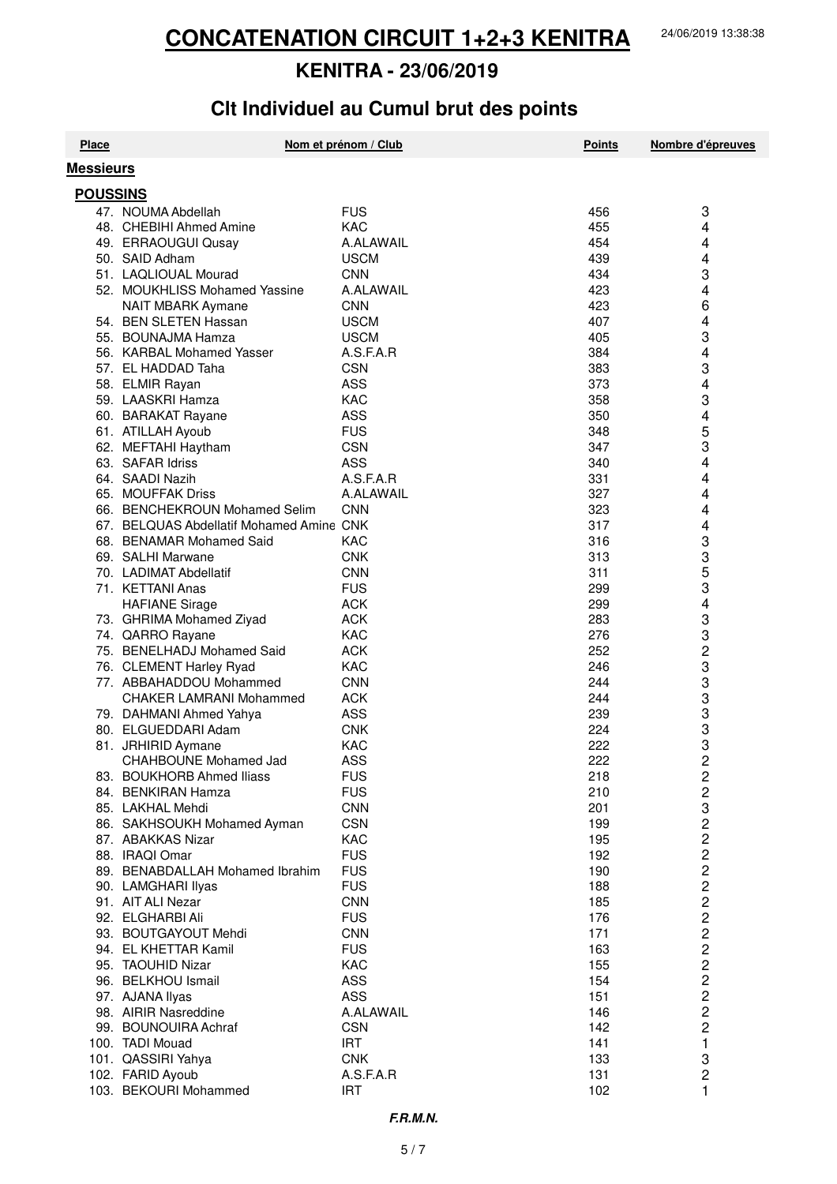# **Clt Individuel au Cumul brut des points**

| <b>Place</b>     |                                          | Nom et prénom / Club | <b>Points</b> | Nombre d'épreuves       |
|------------------|------------------------------------------|----------------------|---------------|-------------------------|
| <b>Messieurs</b> |                                          |                      |               |                         |
| <b>POUSSINS</b>  |                                          |                      |               |                         |
|                  | 47. NOUMA Abdellah                       | <b>FUS</b>           | 456           | 3                       |
|                  | 48. CHEBIHI Ahmed Amine                  | <b>KAC</b>           | 455           | 4                       |
|                  | 49. ERRAOUGUI Qusay                      | A.ALAWAIL            | 454           | 4                       |
|                  | 50. SAID Adham                           | <b>USCM</b>          | 439           | 4                       |
|                  | 51. LAQLIOUAL Mourad                     | <b>CNN</b>           | 434           | 3                       |
|                  | 52. MOUKHLISS Mohamed Yassine            | A.ALAWAIL            | 423           | 4                       |
|                  | NAIT MBARK Aymane                        | <b>CNN</b>           | 423           | 6                       |
|                  | 54. BEN SLETEN Hassan                    | <b>USCM</b>          | 407           | 4                       |
|                  | 55. BOUNAJMA Hamza                       | <b>USCM</b>          | 405           | 3                       |
|                  | 56. KARBAL Mohamed Yasser                | A.S.F.A.R            | 384           | 4                       |
|                  | 57. EL HADDAD Taha                       | <b>CSN</b>           | 383           | 3                       |
|                  | 58. ELMIR Rayan                          | <b>ASS</b>           | 373           | 4                       |
|                  | 59. LAASKRI Hamza                        | <b>KAC</b>           | 358           | 3                       |
|                  | 60. BARAKAT Rayane                       | ASS                  | 350           | 4                       |
|                  | 61. ATILLAH Ayoub                        | <b>FUS</b>           | 348           | 5                       |
|                  | 62. MEFTAHI Haytham                      | <b>CSN</b>           | 347           | 3                       |
|                  | 63. SAFAR Idriss                         | <b>ASS</b>           | 340           | 4                       |
|                  | 64. SAADI Nazih                          | A.S.F.A.R            | 331           | 4                       |
|                  | 65. MOUFFAK Driss                        | A.ALAWAIL            | 327           | 4                       |
|                  | 66. BENCHEKROUN Mohamed Selim            | <b>CNN</b>           | 323           | 4                       |
|                  | 67. BELQUAS Abdellatif Mohamed Amine CNK |                      | 317           | 4                       |
|                  | 68. BENAMAR Mohamed Said                 | KAC                  | 316           | 3                       |
|                  | 69. SALHI Marwane                        | <b>CNK</b>           | 313           | 3                       |
|                  | 70. LADIMAT Abdellatif                   | <b>CNN</b>           | 311           | 5                       |
|                  | 71. KETTANI Anas                         | <b>FUS</b>           | 299           | 3                       |
|                  | <b>HAFIANE Sirage</b>                    | <b>ACK</b>           | 299           | 4                       |
|                  | 73. GHRIMA Mohamed Ziyad                 | <b>ACK</b>           | 283           | 3                       |
|                  | 74. QARRO Rayane                         | <b>KAC</b>           | 276           | 3                       |
|                  | 75. BENELHADJ Mohamed Said               | <b>ACK</b>           | 252           | 2                       |
|                  | 76. CLEMENT Harley Ryad                  | <b>KAC</b>           | 246           | 3                       |
|                  | 77. ABBAHADDOU Mohammed                  | <b>CNN</b>           | 244           | 3                       |
|                  | <b>CHAKER LAMRANI Mohammed</b>           | <b>ACK</b>           | 244           | 3                       |
|                  | 79. DAHMANI Ahmed Yahya                  | ASS                  | 239           | 3                       |
|                  | 80. ELGUEDDARI Adam                      | <b>CNK</b>           | 224           | 3                       |
|                  | 81. JRHIRID Aymane                       | <b>KAC</b>           | 222           | 3                       |
|                  | CHAHBOUNE Mohamed Jad                    | <b>ASS</b>           | 222           | $\overline{c}$          |
|                  | 83. BOUKHORB Ahmed Iliass                | <b>FUS</b>           | 218           | $\overline{\mathbf{c}}$ |
|                  | 84. BENKIRAN Hamza                       | <b>FUS</b>           | 210           | 2                       |
|                  | 85. LAKHAL Mehdi                         | <b>CNN</b>           | 201           | 3                       |
|                  | 86. SAKHSOUKH Mohamed Ayman              | <b>CSN</b>           | 199           | $\frac{2}{2}$           |
|                  | 87. ABAKKAS Nizar                        | KAC                  | 195           |                         |
|                  | 88. IRAQI Omar                           | <b>FUS</b>           | 192           | $\overline{c}$          |
|                  | 89. BENABDALLAH Mohamed Ibrahim          | <b>FUS</b>           | 190           | $\overline{c}$          |
|                  | 90. LAMGHARI Ilyas                       | <b>FUS</b>           | 188           | $\overline{c}$          |
|                  | 91. AIT ALI Nezar                        | <b>CNN</b>           | 185           | $\overline{\mathbf{c}}$ |
|                  | 92. ELGHARBI Ali                         | <b>FUS</b>           | 176           | $\overline{\mathbf{c}}$ |
|                  | 93. BOUTGAYOUT Mehdi                     | <b>CNN</b>           | 171           | $\frac{2}{2}$           |
|                  | 94. EL KHETTAR Kamil                     | <b>FUS</b>           | 163           |                         |
|                  | 95. TAOUHID Nizar                        | KAC                  | 155           | $\overline{\mathbf{c}}$ |
|                  | 96. BELKHOU Ismail                       | <b>ASS</b>           | 154           | $\overline{c}$          |
|                  | 97. AJANA Ilyas                          | <b>ASS</b>           | 151           | $\overline{c}$          |
|                  | 98. AIRIR Nasreddine                     | A.ALAWAIL            | 146           | $\overline{c}$          |
|                  | 99. BOUNOUIRA Achraf                     | <b>CSN</b>           | 142           | 2                       |
|                  | 100. TADI Mouad                          | <b>IRT</b>           | 141           | 1                       |
|                  | 101. QASSIRI Yahya                       | <b>CNK</b>           | 133           | 3                       |
|                  | 102. FARID Ayoub                         | A.S.F.A.R            | 131           | 2                       |
|                  | 103. BEKOURI Mohammed                    | <b>IRT</b>           | 102           | 1                       |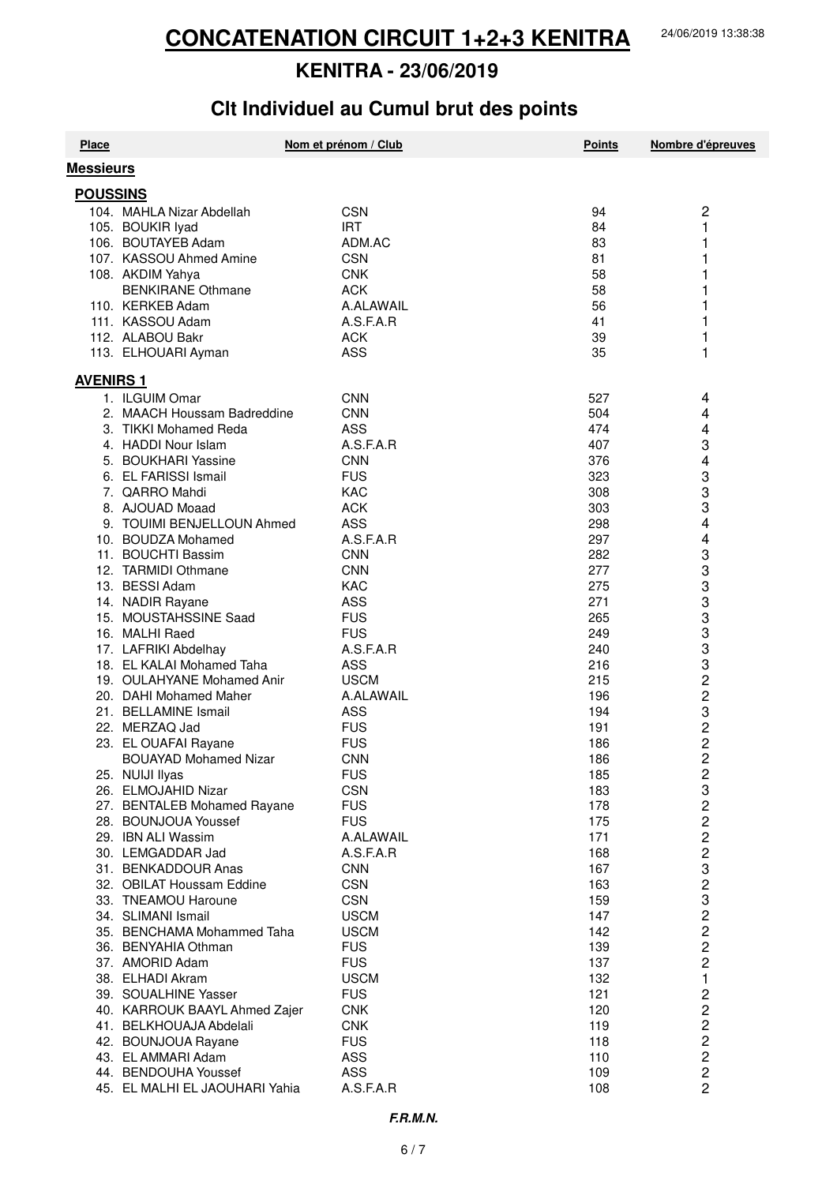# **Clt Individuel au Cumul brut des points**

| <b>Messieurs</b><br><b>POUSSINS</b><br>$\overline{c}$<br>104. MAHLA Nizar Abdellah<br><b>CSN</b><br>94<br><b>IRT</b><br>1<br>105. BOUKIR lyad<br>84<br>106. BOUTAYEB Adam<br>ADM.AC<br>83<br>1<br>107. KASSOU Ahmed Amine<br><b>CSN</b><br>81<br>1<br>108. AKDIM Yahya<br><b>CNK</b><br>58<br>1<br><b>BENKIRANE Othmane</b><br><b>ACK</b><br>58<br>1<br>1<br>110. KERKEB Adam<br>A.ALAWAIL<br>56<br>1<br>111. KASSOU Adam<br>A.S.F.A.R<br>41<br>1<br>112. ALABOU Bakr<br><b>ACK</b><br>39<br>35<br>1<br>113. ELHOUARI Ayman<br>ASS<br><b>AVENIRS 1</b><br>1. ILGUIM Omar<br><b>CNN</b><br>527<br>4<br>4<br><b>CNN</b><br>2. MAACH Houssam Badreddine<br>504<br><b>ASS</b><br>4<br>3. TIKKI Mohamed Reda<br>474<br>3<br>A.S.F.A.R<br>4. HADDI Nour Islam<br>407<br>5. BOUKHARI Yassine<br><b>CNN</b><br>376<br>4<br>3<br>6. EL FARISSI Ismail<br><b>FUS</b><br>323<br>3<br>7. QARRO Mahdi<br><b>KAC</b><br>308<br>3<br>8. AJOUAD Moaad<br><b>ACK</b><br>303<br>4<br><b>ASS</b><br>9. TOUIMI BENJELLOUN Ahmed<br>298<br>4<br>A.S.F.A.R<br>10. BOUDZA Mohamed<br>297<br>3<br>11. BOUCHTI Bassim<br><b>CNN</b><br>282<br>3<br>12. TARMIDI Othmane<br><b>CNN</b><br>277<br>3<br>13. BESSI Adam<br><b>KAC</b><br>275<br>3<br><b>ASS</b><br>271<br>14. NADIR Rayane<br>3<br>15. MOUSTAHSSINE Saad<br><b>FUS</b><br>265<br>3<br>16. MALHI Raed<br><b>FUS</b><br>249<br>3<br>A.S.F.A.R<br>17. LAFRIKI Abdelhay<br>240<br>3<br><b>ASS</b><br>18. EL KALAI Mohamed Taha<br>216<br>2<br>3<br>3<br>19. OULAHYANE Mohamed Anir<br><b>USCM</b><br>215<br>20. DAHI Mohamed Maher<br>A.ALAWAIL<br>196<br>21. BELLAMINE Ismail<br>ASS<br>194<br>$\frac{2}{2}$<br>22. MERZAQ Jad<br><b>FUS</b><br>191<br>23. EL OUAFAI Rayane<br><b>FUS</b><br>186<br>$\overline{2}$<br><b>BOUAYAD Mohamed Nizar</b><br><b>CNN</b><br>186<br><b>FUS</b><br>$\overline{\mathbf{c}}$<br>25. NUIJI Ilyas<br>185<br>3<br>26. ELMOJAHID Nizar<br><b>CSN</b><br>183<br>222323<br><b>FUS</b><br>27. BENTALEB Mohamed Rayane<br>178<br><b>FUS</b><br>28. BOUNJOUA Youssef<br>175<br>29. IBN ALI Wassim<br>A.ALAWAIL<br>171<br>30. LEMGADDAR Jad<br>A.S.F.A.R<br>168<br>167<br>31. BENKADDOUR Anas<br><b>CNN</b><br><b>CSN</b><br>32. OBILAT Houssam Eddine<br>163<br><b>CSN</b><br>33. TNEAMOU Haroune<br>159<br>2<br>2<br>2<br>2<br>34. SLIMANI Ismail<br><b>USCM</b><br>147<br><b>USCM</b><br>35. BENCHAMA Mohammed Taha<br>142<br>36. BENYAHIA Othman<br><b>FUS</b><br>139<br><b>FUS</b><br>37. AMORID Adam<br>137<br>$\mathbf{1}$<br><b>USCM</b><br>132<br>38. ELHADI Akram<br>2222222<br><b>FUS</b><br>121<br>39. SOUALHINE Yasser<br><b>CNK</b><br>40. KARROUK BAAYL Ahmed Zajer<br>120<br><b>CNK</b><br>41. BELKHOUAJA Abdelali<br>119<br><b>FUS</b><br>42. BOUNJOUA Rayane<br>118<br>ASS<br>43. EL AMMARI Adam<br>110<br><b>ASS</b><br>44. BENDOUHA Youssef<br>109<br>A.S.F.A.R<br>45. EL MALHI EL JAOUHARI Yahia<br>108 | <b>Place</b> | Nom et prénom / Club | <b>Points</b> | Nombre d'épreuves |
|---------------------------------------------------------------------------------------------------------------------------------------------------------------------------------------------------------------------------------------------------------------------------------------------------------------------------------------------------------------------------------------------------------------------------------------------------------------------------------------------------------------------------------------------------------------------------------------------------------------------------------------------------------------------------------------------------------------------------------------------------------------------------------------------------------------------------------------------------------------------------------------------------------------------------------------------------------------------------------------------------------------------------------------------------------------------------------------------------------------------------------------------------------------------------------------------------------------------------------------------------------------------------------------------------------------------------------------------------------------------------------------------------------------------------------------------------------------------------------------------------------------------------------------------------------------------------------------------------------------------------------------------------------------------------------------------------------------------------------------------------------------------------------------------------------------------------------------------------------------------------------------------------------------------------------------------------------------------------------------------------------------------------------------------------------------------------------------------------------------------------------------------------------------------------------------------------------------------------------------------------------------------------------------------------------------------------------------------------------------------------------------------------------------------------------------------------------------------------------------------------------------------------------------------------------------------------------------------------------------------------------------------------------------------------------------------------------------------------------------------------------------------------------------------------------------------------------------------------------------------------------------|--------------|----------------------|---------------|-------------------|
|                                                                                                                                                                                                                                                                                                                                                                                                                                                                                                                                                                                                                                                                                                                                                                                                                                                                                                                                                                                                                                                                                                                                                                                                                                                                                                                                                                                                                                                                                                                                                                                                                                                                                                                                                                                                                                                                                                                                                                                                                                                                                                                                                                                                                                                                                                                                                                                                                                                                                                                                                                                                                                                                                                                                                                                                                                                                                       |              |                      |               |                   |
|                                                                                                                                                                                                                                                                                                                                                                                                                                                                                                                                                                                                                                                                                                                                                                                                                                                                                                                                                                                                                                                                                                                                                                                                                                                                                                                                                                                                                                                                                                                                                                                                                                                                                                                                                                                                                                                                                                                                                                                                                                                                                                                                                                                                                                                                                                                                                                                                                                                                                                                                                                                                                                                                                                                                                                                                                                                                                       |              |                      |               |                   |
|                                                                                                                                                                                                                                                                                                                                                                                                                                                                                                                                                                                                                                                                                                                                                                                                                                                                                                                                                                                                                                                                                                                                                                                                                                                                                                                                                                                                                                                                                                                                                                                                                                                                                                                                                                                                                                                                                                                                                                                                                                                                                                                                                                                                                                                                                                                                                                                                                                                                                                                                                                                                                                                                                                                                                                                                                                                                                       |              |                      |               |                   |
|                                                                                                                                                                                                                                                                                                                                                                                                                                                                                                                                                                                                                                                                                                                                                                                                                                                                                                                                                                                                                                                                                                                                                                                                                                                                                                                                                                                                                                                                                                                                                                                                                                                                                                                                                                                                                                                                                                                                                                                                                                                                                                                                                                                                                                                                                                                                                                                                                                                                                                                                                                                                                                                                                                                                                                                                                                                                                       |              |                      |               |                   |
|                                                                                                                                                                                                                                                                                                                                                                                                                                                                                                                                                                                                                                                                                                                                                                                                                                                                                                                                                                                                                                                                                                                                                                                                                                                                                                                                                                                                                                                                                                                                                                                                                                                                                                                                                                                                                                                                                                                                                                                                                                                                                                                                                                                                                                                                                                                                                                                                                                                                                                                                                                                                                                                                                                                                                                                                                                                                                       |              |                      |               |                   |
|                                                                                                                                                                                                                                                                                                                                                                                                                                                                                                                                                                                                                                                                                                                                                                                                                                                                                                                                                                                                                                                                                                                                                                                                                                                                                                                                                                                                                                                                                                                                                                                                                                                                                                                                                                                                                                                                                                                                                                                                                                                                                                                                                                                                                                                                                                                                                                                                                                                                                                                                                                                                                                                                                                                                                                                                                                                                                       |              |                      |               |                   |
|                                                                                                                                                                                                                                                                                                                                                                                                                                                                                                                                                                                                                                                                                                                                                                                                                                                                                                                                                                                                                                                                                                                                                                                                                                                                                                                                                                                                                                                                                                                                                                                                                                                                                                                                                                                                                                                                                                                                                                                                                                                                                                                                                                                                                                                                                                                                                                                                                                                                                                                                                                                                                                                                                                                                                                                                                                                                                       |              |                      |               |                   |
|                                                                                                                                                                                                                                                                                                                                                                                                                                                                                                                                                                                                                                                                                                                                                                                                                                                                                                                                                                                                                                                                                                                                                                                                                                                                                                                                                                                                                                                                                                                                                                                                                                                                                                                                                                                                                                                                                                                                                                                                                                                                                                                                                                                                                                                                                                                                                                                                                                                                                                                                                                                                                                                                                                                                                                                                                                                                                       |              |                      |               |                   |
|                                                                                                                                                                                                                                                                                                                                                                                                                                                                                                                                                                                                                                                                                                                                                                                                                                                                                                                                                                                                                                                                                                                                                                                                                                                                                                                                                                                                                                                                                                                                                                                                                                                                                                                                                                                                                                                                                                                                                                                                                                                                                                                                                                                                                                                                                                                                                                                                                                                                                                                                                                                                                                                                                                                                                                                                                                                                                       |              |                      |               |                   |
|                                                                                                                                                                                                                                                                                                                                                                                                                                                                                                                                                                                                                                                                                                                                                                                                                                                                                                                                                                                                                                                                                                                                                                                                                                                                                                                                                                                                                                                                                                                                                                                                                                                                                                                                                                                                                                                                                                                                                                                                                                                                                                                                                                                                                                                                                                                                                                                                                                                                                                                                                                                                                                                                                                                                                                                                                                                                                       |              |                      |               |                   |
|                                                                                                                                                                                                                                                                                                                                                                                                                                                                                                                                                                                                                                                                                                                                                                                                                                                                                                                                                                                                                                                                                                                                                                                                                                                                                                                                                                                                                                                                                                                                                                                                                                                                                                                                                                                                                                                                                                                                                                                                                                                                                                                                                                                                                                                                                                                                                                                                                                                                                                                                                                                                                                                                                                                                                                                                                                                                                       |              |                      |               |                   |
|                                                                                                                                                                                                                                                                                                                                                                                                                                                                                                                                                                                                                                                                                                                                                                                                                                                                                                                                                                                                                                                                                                                                                                                                                                                                                                                                                                                                                                                                                                                                                                                                                                                                                                                                                                                                                                                                                                                                                                                                                                                                                                                                                                                                                                                                                                                                                                                                                                                                                                                                                                                                                                                                                                                                                                                                                                                                                       |              |                      |               |                   |
|                                                                                                                                                                                                                                                                                                                                                                                                                                                                                                                                                                                                                                                                                                                                                                                                                                                                                                                                                                                                                                                                                                                                                                                                                                                                                                                                                                                                                                                                                                                                                                                                                                                                                                                                                                                                                                                                                                                                                                                                                                                                                                                                                                                                                                                                                                                                                                                                                                                                                                                                                                                                                                                                                                                                                                                                                                                                                       |              |                      |               |                   |
|                                                                                                                                                                                                                                                                                                                                                                                                                                                                                                                                                                                                                                                                                                                                                                                                                                                                                                                                                                                                                                                                                                                                                                                                                                                                                                                                                                                                                                                                                                                                                                                                                                                                                                                                                                                                                                                                                                                                                                                                                                                                                                                                                                                                                                                                                                                                                                                                                                                                                                                                                                                                                                                                                                                                                                                                                                                                                       |              |                      |               |                   |
|                                                                                                                                                                                                                                                                                                                                                                                                                                                                                                                                                                                                                                                                                                                                                                                                                                                                                                                                                                                                                                                                                                                                                                                                                                                                                                                                                                                                                                                                                                                                                                                                                                                                                                                                                                                                                                                                                                                                                                                                                                                                                                                                                                                                                                                                                                                                                                                                                                                                                                                                                                                                                                                                                                                                                                                                                                                                                       |              |                      |               |                   |
|                                                                                                                                                                                                                                                                                                                                                                                                                                                                                                                                                                                                                                                                                                                                                                                                                                                                                                                                                                                                                                                                                                                                                                                                                                                                                                                                                                                                                                                                                                                                                                                                                                                                                                                                                                                                                                                                                                                                                                                                                                                                                                                                                                                                                                                                                                                                                                                                                                                                                                                                                                                                                                                                                                                                                                                                                                                                                       |              |                      |               |                   |
|                                                                                                                                                                                                                                                                                                                                                                                                                                                                                                                                                                                                                                                                                                                                                                                                                                                                                                                                                                                                                                                                                                                                                                                                                                                                                                                                                                                                                                                                                                                                                                                                                                                                                                                                                                                                                                                                                                                                                                                                                                                                                                                                                                                                                                                                                                                                                                                                                                                                                                                                                                                                                                                                                                                                                                                                                                                                                       |              |                      |               |                   |
|                                                                                                                                                                                                                                                                                                                                                                                                                                                                                                                                                                                                                                                                                                                                                                                                                                                                                                                                                                                                                                                                                                                                                                                                                                                                                                                                                                                                                                                                                                                                                                                                                                                                                                                                                                                                                                                                                                                                                                                                                                                                                                                                                                                                                                                                                                                                                                                                                                                                                                                                                                                                                                                                                                                                                                                                                                                                                       |              |                      |               |                   |
|                                                                                                                                                                                                                                                                                                                                                                                                                                                                                                                                                                                                                                                                                                                                                                                                                                                                                                                                                                                                                                                                                                                                                                                                                                                                                                                                                                                                                                                                                                                                                                                                                                                                                                                                                                                                                                                                                                                                                                                                                                                                                                                                                                                                                                                                                                                                                                                                                                                                                                                                                                                                                                                                                                                                                                                                                                                                                       |              |                      |               |                   |
|                                                                                                                                                                                                                                                                                                                                                                                                                                                                                                                                                                                                                                                                                                                                                                                                                                                                                                                                                                                                                                                                                                                                                                                                                                                                                                                                                                                                                                                                                                                                                                                                                                                                                                                                                                                                                                                                                                                                                                                                                                                                                                                                                                                                                                                                                                                                                                                                                                                                                                                                                                                                                                                                                                                                                                                                                                                                                       |              |                      |               |                   |
|                                                                                                                                                                                                                                                                                                                                                                                                                                                                                                                                                                                                                                                                                                                                                                                                                                                                                                                                                                                                                                                                                                                                                                                                                                                                                                                                                                                                                                                                                                                                                                                                                                                                                                                                                                                                                                                                                                                                                                                                                                                                                                                                                                                                                                                                                                                                                                                                                                                                                                                                                                                                                                                                                                                                                                                                                                                                                       |              |                      |               |                   |
|                                                                                                                                                                                                                                                                                                                                                                                                                                                                                                                                                                                                                                                                                                                                                                                                                                                                                                                                                                                                                                                                                                                                                                                                                                                                                                                                                                                                                                                                                                                                                                                                                                                                                                                                                                                                                                                                                                                                                                                                                                                                                                                                                                                                                                                                                                                                                                                                                                                                                                                                                                                                                                                                                                                                                                                                                                                                                       |              |                      |               |                   |
|                                                                                                                                                                                                                                                                                                                                                                                                                                                                                                                                                                                                                                                                                                                                                                                                                                                                                                                                                                                                                                                                                                                                                                                                                                                                                                                                                                                                                                                                                                                                                                                                                                                                                                                                                                                                                                                                                                                                                                                                                                                                                                                                                                                                                                                                                                                                                                                                                                                                                                                                                                                                                                                                                                                                                                                                                                                                                       |              |                      |               |                   |
|                                                                                                                                                                                                                                                                                                                                                                                                                                                                                                                                                                                                                                                                                                                                                                                                                                                                                                                                                                                                                                                                                                                                                                                                                                                                                                                                                                                                                                                                                                                                                                                                                                                                                                                                                                                                                                                                                                                                                                                                                                                                                                                                                                                                                                                                                                                                                                                                                                                                                                                                                                                                                                                                                                                                                                                                                                                                                       |              |                      |               |                   |
|                                                                                                                                                                                                                                                                                                                                                                                                                                                                                                                                                                                                                                                                                                                                                                                                                                                                                                                                                                                                                                                                                                                                                                                                                                                                                                                                                                                                                                                                                                                                                                                                                                                                                                                                                                                                                                                                                                                                                                                                                                                                                                                                                                                                                                                                                                                                                                                                                                                                                                                                                                                                                                                                                                                                                                                                                                                                                       |              |                      |               |                   |
|                                                                                                                                                                                                                                                                                                                                                                                                                                                                                                                                                                                                                                                                                                                                                                                                                                                                                                                                                                                                                                                                                                                                                                                                                                                                                                                                                                                                                                                                                                                                                                                                                                                                                                                                                                                                                                                                                                                                                                                                                                                                                                                                                                                                                                                                                                                                                                                                                                                                                                                                                                                                                                                                                                                                                                                                                                                                                       |              |                      |               |                   |
|                                                                                                                                                                                                                                                                                                                                                                                                                                                                                                                                                                                                                                                                                                                                                                                                                                                                                                                                                                                                                                                                                                                                                                                                                                                                                                                                                                                                                                                                                                                                                                                                                                                                                                                                                                                                                                                                                                                                                                                                                                                                                                                                                                                                                                                                                                                                                                                                                                                                                                                                                                                                                                                                                                                                                                                                                                                                                       |              |                      |               |                   |
|                                                                                                                                                                                                                                                                                                                                                                                                                                                                                                                                                                                                                                                                                                                                                                                                                                                                                                                                                                                                                                                                                                                                                                                                                                                                                                                                                                                                                                                                                                                                                                                                                                                                                                                                                                                                                                                                                                                                                                                                                                                                                                                                                                                                                                                                                                                                                                                                                                                                                                                                                                                                                                                                                                                                                                                                                                                                                       |              |                      |               |                   |
|                                                                                                                                                                                                                                                                                                                                                                                                                                                                                                                                                                                                                                                                                                                                                                                                                                                                                                                                                                                                                                                                                                                                                                                                                                                                                                                                                                                                                                                                                                                                                                                                                                                                                                                                                                                                                                                                                                                                                                                                                                                                                                                                                                                                                                                                                                                                                                                                                                                                                                                                                                                                                                                                                                                                                                                                                                                                                       |              |                      |               |                   |
|                                                                                                                                                                                                                                                                                                                                                                                                                                                                                                                                                                                                                                                                                                                                                                                                                                                                                                                                                                                                                                                                                                                                                                                                                                                                                                                                                                                                                                                                                                                                                                                                                                                                                                                                                                                                                                                                                                                                                                                                                                                                                                                                                                                                                                                                                                                                                                                                                                                                                                                                                                                                                                                                                                                                                                                                                                                                                       |              |                      |               |                   |
|                                                                                                                                                                                                                                                                                                                                                                                                                                                                                                                                                                                                                                                                                                                                                                                                                                                                                                                                                                                                                                                                                                                                                                                                                                                                                                                                                                                                                                                                                                                                                                                                                                                                                                                                                                                                                                                                                                                                                                                                                                                                                                                                                                                                                                                                                                                                                                                                                                                                                                                                                                                                                                                                                                                                                                                                                                                                                       |              |                      |               |                   |
|                                                                                                                                                                                                                                                                                                                                                                                                                                                                                                                                                                                                                                                                                                                                                                                                                                                                                                                                                                                                                                                                                                                                                                                                                                                                                                                                                                                                                                                                                                                                                                                                                                                                                                                                                                                                                                                                                                                                                                                                                                                                                                                                                                                                                                                                                                                                                                                                                                                                                                                                                                                                                                                                                                                                                                                                                                                                                       |              |                      |               |                   |
|                                                                                                                                                                                                                                                                                                                                                                                                                                                                                                                                                                                                                                                                                                                                                                                                                                                                                                                                                                                                                                                                                                                                                                                                                                                                                                                                                                                                                                                                                                                                                                                                                                                                                                                                                                                                                                                                                                                                                                                                                                                                                                                                                                                                                                                                                                                                                                                                                                                                                                                                                                                                                                                                                                                                                                                                                                                                                       |              |                      |               |                   |
|                                                                                                                                                                                                                                                                                                                                                                                                                                                                                                                                                                                                                                                                                                                                                                                                                                                                                                                                                                                                                                                                                                                                                                                                                                                                                                                                                                                                                                                                                                                                                                                                                                                                                                                                                                                                                                                                                                                                                                                                                                                                                                                                                                                                                                                                                                                                                                                                                                                                                                                                                                                                                                                                                                                                                                                                                                                                                       |              |                      |               |                   |
|                                                                                                                                                                                                                                                                                                                                                                                                                                                                                                                                                                                                                                                                                                                                                                                                                                                                                                                                                                                                                                                                                                                                                                                                                                                                                                                                                                                                                                                                                                                                                                                                                                                                                                                                                                                                                                                                                                                                                                                                                                                                                                                                                                                                                                                                                                                                                                                                                                                                                                                                                                                                                                                                                                                                                                                                                                                                                       |              |                      |               |                   |
|                                                                                                                                                                                                                                                                                                                                                                                                                                                                                                                                                                                                                                                                                                                                                                                                                                                                                                                                                                                                                                                                                                                                                                                                                                                                                                                                                                                                                                                                                                                                                                                                                                                                                                                                                                                                                                                                                                                                                                                                                                                                                                                                                                                                                                                                                                                                                                                                                                                                                                                                                                                                                                                                                                                                                                                                                                                                                       |              |                      |               |                   |
|                                                                                                                                                                                                                                                                                                                                                                                                                                                                                                                                                                                                                                                                                                                                                                                                                                                                                                                                                                                                                                                                                                                                                                                                                                                                                                                                                                                                                                                                                                                                                                                                                                                                                                                                                                                                                                                                                                                                                                                                                                                                                                                                                                                                                                                                                                                                                                                                                                                                                                                                                                                                                                                                                                                                                                                                                                                                                       |              |                      |               |                   |
|                                                                                                                                                                                                                                                                                                                                                                                                                                                                                                                                                                                                                                                                                                                                                                                                                                                                                                                                                                                                                                                                                                                                                                                                                                                                                                                                                                                                                                                                                                                                                                                                                                                                                                                                                                                                                                                                                                                                                                                                                                                                                                                                                                                                                                                                                                                                                                                                                                                                                                                                                                                                                                                                                                                                                                                                                                                                                       |              |                      |               |                   |
|                                                                                                                                                                                                                                                                                                                                                                                                                                                                                                                                                                                                                                                                                                                                                                                                                                                                                                                                                                                                                                                                                                                                                                                                                                                                                                                                                                                                                                                                                                                                                                                                                                                                                                                                                                                                                                                                                                                                                                                                                                                                                                                                                                                                                                                                                                                                                                                                                                                                                                                                                                                                                                                                                                                                                                                                                                                                                       |              |                      |               |                   |
|                                                                                                                                                                                                                                                                                                                                                                                                                                                                                                                                                                                                                                                                                                                                                                                                                                                                                                                                                                                                                                                                                                                                                                                                                                                                                                                                                                                                                                                                                                                                                                                                                                                                                                                                                                                                                                                                                                                                                                                                                                                                                                                                                                                                                                                                                                                                                                                                                                                                                                                                                                                                                                                                                                                                                                                                                                                                                       |              |                      |               |                   |
|                                                                                                                                                                                                                                                                                                                                                                                                                                                                                                                                                                                                                                                                                                                                                                                                                                                                                                                                                                                                                                                                                                                                                                                                                                                                                                                                                                                                                                                                                                                                                                                                                                                                                                                                                                                                                                                                                                                                                                                                                                                                                                                                                                                                                                                                                                                                                                                                                                                                                                                                                                                                                                                                                                                                                                                                                                                                                       |              |                      |               |                   |
|                                                                                                                                                                                                                                                                                                                                                                                                                                                                                                                                                                                                                                                                                                                                                                                                                                                                                                                                                                                                                                                                                                                                                                                                                                                                                                                                                                                                                                                                                                                                                                                                                                                                                                                                                                                                                                                                                                                                                                                                                                                                                                                                                                                                                                                                                                                                                                                                                                                                                                                                                                                                                                                                                                                                                                                                                                                                                       |              |                      |               |                   |
|                                                                                                                                                                                                                                                                                                                                                                                                                                                                                                                                                                                                                                                                                                                                                                                                                                                                                                                                                                                                                                                                                                                                                                                                                                                                                                                                                                                                                                                                                                                                                                                                                                                                                                                                                                                                                                                                                                                                                                                                                                                                                                                                                                                                                                                                                                                                                                                                                                                                                                                                                                                                                                                                                                                                                                                                                                                                                       |              |                      |               |                   |
|                                                                                                                                                                                                                                                                                                                                                                                                                                                                                                                                                                                                                                                                                                                                                                                                                                                                                                                                                                                                                                                                                                                                                                                                                                                                                                                                                                                                                                                                                                                                                                                                                                                                                                                                                                                                                                                                                                                                                                                                                                                                                                                                                                                                                                                                                                                                                                                                                                                                                                                                                                                                                                                                                                                                                                                                                                                                                       |              |                      |               |                   |
|                                                                                                                                                                                                                                                                                                                                                                                                                                                                                                                                                                                                                                                                                                                                                                                                                                                                                                                                                                                                                                                                                                                                                                                                                                                                                                                                                                                                                                                                                                                                                                                                                                                                                                                                                                                                                                                                                                                                                                                                                                                                                                                                                                                                                                                                                                                                                                                                                                                                                                                                                                                                                                                                                                                                                                                                                                                                                       |              |                      |               |                   |
|                                                                                                                                                                                                                                                                                                                                                                                                                                                                                                                                                                                                                                                                                                                                                                                                                                                                                                                                                                                                                                                                                                                                                                                                                                                                                                                                                                                                                                                                                                                                                                                                                                                                                                                                                                                                                                                                                                                                                                                                                                                                                                                                                                                                                                                                                                                                                                                                                                                                                                                                                                                                                                                                                                                                                                                                                                                                                       |              |                      |               |                   |
|                                                                                                                                                                                                                                                                                                                                                                                                                                                                                                                                                                                                                                                                                                                                                                                                                                                                                                                                                                                                                                                                                                                                                                                                                                                                                                                                                                                                                                                                                                                                                                                                                                                                                                                                                                                                                                                                                                                                                                                                                                                                                                                                                                                                                                                                                                                                                                                                                                                                                                                                                                                                                                                                                                                                                                                                                                                                                       |              |                      |               |                   |
|                                                                                                                                                                                                                                                                                                                                                                                                                                                                                                                                                                                                                                                                                                                                                                                                                                                                                                                                                                                                                                                                                                                                                                                                                                                                                                                                                                                                                                                                                                                                                                                                                                                                                                                                                                                                                                                                                                                                                                                                                                                                                                                                                                                                                                                                                                                                                                                                                                                                                                                                                                                                                                                                                                                                                                                                                                                                                       |              |                      |               |                   |
|                                                                                                                                                                                                                                                                                                                                                                                                                                                                                                                                                                                                                                                                                                                                                                                                                                                                                                                                                                                                                                                                                                                                                                                                                                                                                                                                                                                                                                                                                                                                                                                                                                                                                                                                                                                                                                                                                                                                                                                                                                                                                                                                                                                                                                                                                                                                                                                                                                                                                                                                                                                                                                                                                                                                                                                                                                                                                       |              |                      |               |                   |
|                                                                                                                                                                                                                                                                                                                                                                                                                                                                                                                                                                                                                                                                                                                                                                                                                                                                                                                                                                                                                                                                                                                                                                                                                                                                                                                                                                                                                                                                                                                                                                                                                                                                                                                                                                                                                                                                                                                                                                                                                                                                                                                                                                                                                                                                                                                                                                                                                                                                                                                                                                                                                                                                                                                                                                                                                                                                                       |              |                      |               |                   |
|                                                                                                                                                                                                                                                                                                                                                                                                                                                                                                                                                                                                                                                                                                                                                                                                                                                                                                                                                                                                                                                                                                                                                                                                                                                                                                                                                                                                                                                                                                                                                                                                                                                                                                                                                                                                                                                                                                                                                                                                                                                                                                                                                                                                                                                                                                                                                                                                                                                                                                                                                                                                                                                                                                                                                                                                                                                                                       |              |                      |               |                   |
|                                                                                                                                                                                                                                                                                                                                                                                                                                                                                                                                                                                                                                                                                                                                                                                                                                                                                                                                                                                                                                                                                                                                                                                                                                                                                                                                                                                                                                                                                                                                                                                                                                                                                                                                                                                                                                                                                                                                                                                                                                                                                                                                                                                                                                                                                                                                                                                                                                                                                                                                                                                                                                                                                                                                                                                                                                                                                       |              |                      |               |                   |
|                                                                                                                                                                                                                                                                                                                                                                                                                                                                                                                                                                                                                                                                                                                                                                                                                                                                                                                                                                                                                                                                                                                                                                                                                                                                                                                                                                                                                                                                                                                                                                                                                                                                                                                                                                                                                                                                                                                                                                                                                                                                                                                                                                                                                                                                                                                                                                                                                                                                                                                                                                                                                                                                                                                                                                                                                                                                                       |              |                      |               |                   |
|                                                                                                                                                                                                                                                                                                                                                                                                                                                                                                                                                                                                                                                                                                                                                                                                                                                                                                                                                                                                                                                                                                                                                                                                                                                                                                                                                                                                                                                                                                                                                                                                                                                                                                                                                                                                                                                                                                                                                                                                                                                                                                                                                                                                                                                                                                                                                                                                                                                                                                                                                                                                                                                                                                                                                                                                                                                                                       |              |                      |               |                   |
|                                                                                                                                                                                                                                                                                                                                                                                                                                                                                                                                                                                                                                                                                                                                                                                                                                                                                                                                                                                                                                                                                                                                                                                                                                                                                                                                                                                                                                                                                                                                                                                                                                                                                                                                                                                                                                                                                                                                                                                                                                                                                                                                                                                                                                                                                                                                                                                                                                                                                                                                                                                                                                                                                                                                                                                                                                                                                       |              |                      |               |                   |
|                                                                                                                                                                                                                                                                                                                                                                                                                                                                                                                                                                                                                                                                                                                                                                                                                                                                                                                                                                                                                                                                                                                                                                                                                                                                                                                                                                                                                                                                                                                                                                                                                                                                                                                                                                                                                                                                                                                                                                                                                                                                                                                                                                                                                                                                                                                                                                                                                                                                                                                                                                                                                                                                                                                                                                                                                                                                                       |              |                      |               |                   |
|                                                                                                                                                                                                                                                                                                                                                                                                                                                                                                                                                                                                                                                                                                                                                                                                                                                                                                                                                                                                                                                                                                                                                                                                                                                                                                                                                                                                                                                                                                                                                                                                                                                                                                                                                                                                                                                                                                                                                                                                                                                                                                                                                                                                                                                                                                                                                                                                                                                                                                                                                                                                                                                                                                                                                                                                                                                                                       |              |                      |               |                   |
|                                                                                                                                                                                                                                                                                                                                                                                                                                                                                                                                                                                                                                                                                                                                                                                                                                                                                                                                                                                                                                                                                                                                                                                                                                                                                                                                                                                                                                                                                                                                                                                                                                                                                                                                                                                                                                                                                                                                                                                                                                                                                                                                                                                                                                                                                                                                                                                                                                                                                                                                                                                                                                                                                                                                                                                                                                                                                       |              |                      |               |                   |